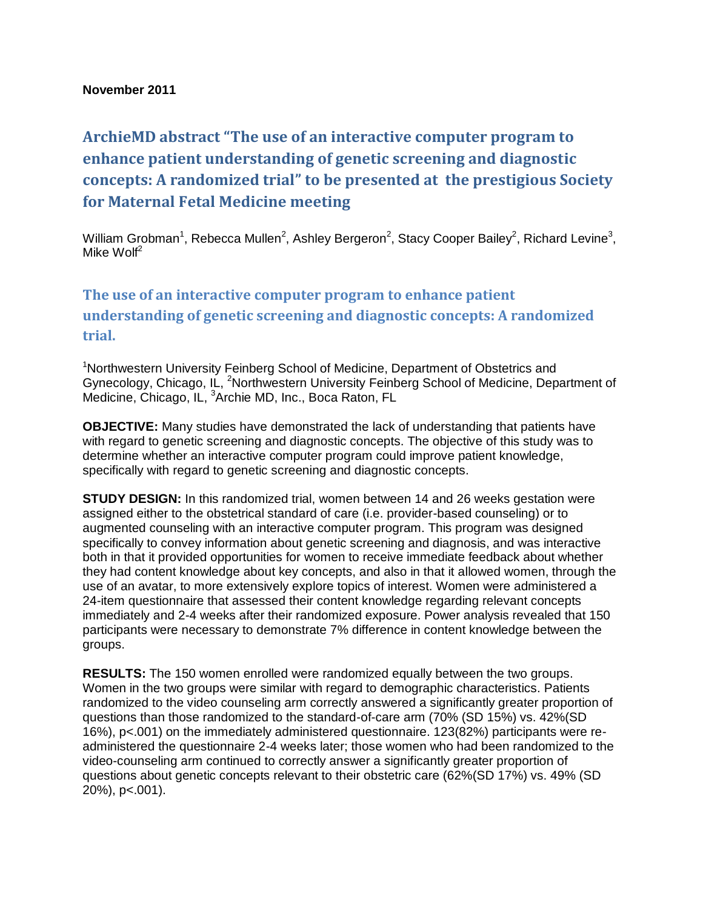## **November 2011**

## **ArchieMD abstract "The use of an interactive computer program to enhance patient understanding of genetic screening and diagnostic concepts: A randomized trial" to be presented at the prestigious Society for Maternal Fetal Medicine meeting**

William Grobman<sup>1</sup>, Rebecca Mullen<sup>2</sup>, Ashley Bergeron<sup>2</sup>, Stacy Cooper Bailey<sup>2</sup>, Richard Levine<sup>3</sup>, Mike  $W$ olf<sup>2</sup>

## **The use of an interactive computer program to enhance patient understanding of genetic screening and diagnostic concepts: A randomized trial.**

<sup>1</sup>Northwestern University Feinberg School of Medicine, Department of Obstetrics and Gynecology, Chicago, IL, <sup>2</sup>Northwestern University Feinberg School of Medicine, Department of Medicine, Chicago, IL, <sup>3</sup>Archie MD, Inc., Boca Raton, FL

**OBJECTIVE:** Many studies have demonstrated the lack of understanding that patients have with regard to genetic screening and diagnostic concepts. The objective of this study was to determine whether an interactive computer program could improve patient knowledge, specifically with regard to genetic screening and diagnostic concepts.

**STUDY DESIGN:** In this randomized trial, women between 14 and 26 weeks gestation were assigned either to the obstetrical standard of care (i.e. provider-based counseling) or to augmented counseling with an interactive computer program. This program was designed specifically to convey information about genetic screening and diagnosis, and was interactive both in that it provided opportunities for women to receive immediate feedback about whether they had content knowledge about key concepts, and also in that it allowed women, through the use of an avatar, to more extensively explore topics of interest. Women were administered a 24-item questionnaire that assessed their content knowledge regarding relevant concepts immediately and 2-4 weeks after their randomized exposure. Power analysis revealed that 150 participants were necessary to demonstrate 7% difference in content knowledge between the groups.

**RESULTS:** The 150 women enrolled were randomized equally between the two groups. Women in the two groups were similar with regard to demographic characteristics. Patients randomized to the video counseling arm correctly answered a significantly greater proportion of questions than those randomized to the standard-of-care arm (70% (SD 15%) vs. 42%(SD 16%), p<.001) on the immediately administered questionnaire. 123(82%) participants were readministered the questionnaire 2-4 weeks later; those women who had been randomized to the video-counseling arm continued to correctly answer a significantly greater proportion of questions about genetic concepts relevant to their obstetric care (62%(SD 17%) vs. 49% (SD 20%), p<.001).